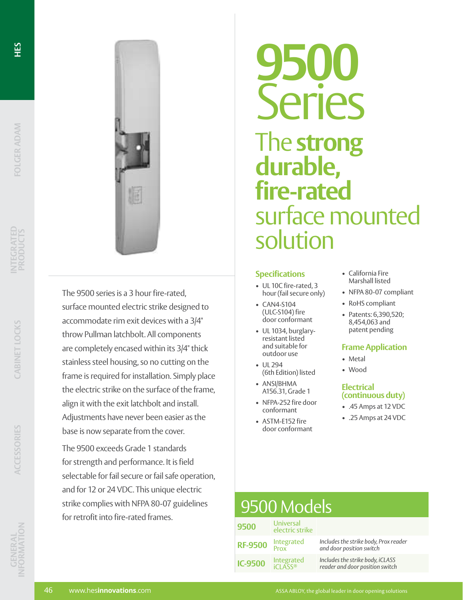

The 9500 series is a 3 hour fire-rated, surface mounted electric strike designed to accommodate rim exit devices with a 3/4" throw Pullman latchbolt. All components are completely encased within its 3/4" thick stainless steel housing, so no cutting on the frame is required for installation. Simply place the electric strike on the surface of the frame, align it with the exit latchbolt and install. Adjustments have never been easier as the base is now separate from the cover.

The 9500 exceeds Grade 1 standards for strength and performance. It is field selectable for fail secure or fail safe operation, and for 12 or 24 VDC. This unique electric strike complies with NFPA 80-07 guidelines for retrofit into fire-rated frames.

# **9500** Series The **strong durable, fire-rated**  surface mounted solution

#### **Specifications**

- UL 10C fire-rated, 3 hour (fail secure only)
- CAN4-S104 (ULC-S104) fire door conformant
- UL 1034, burglaryresistant listed and suitable for outdoor use
- UL 294 (6th Edition) listed
- ANSI/BHMA A156.31, Grade 1
- NFPA-252 fire door conformant
- ASTM-E152 fire door conformant
- California Fire Marshall listed
- NFPA 80-07 compliant
- RoHS compliant
- Patents: 6,390,520; 8,454,063 and patent pending

#### **Frame Application**

- Metal
- Wood

#### **Electrical (continuous duty)**

- .45 Amps at 12 VDC
- .25 Amps at 24 VDC

| 9500 Models    |                              |                                                                     |
|----------------|------------------------------|---------------------------------------------------------------------|
| 9500           | Universal<br>electric strike |                                                                     |
| <b>RF-9500</b> | Integrated<br>Prox           | Includes the strike body, Prox reader<br>and door position switch   |
| <b>IC-9500</b> | Integrated                   | Includes the strike body, iCLASS<br>reader and door position switch |